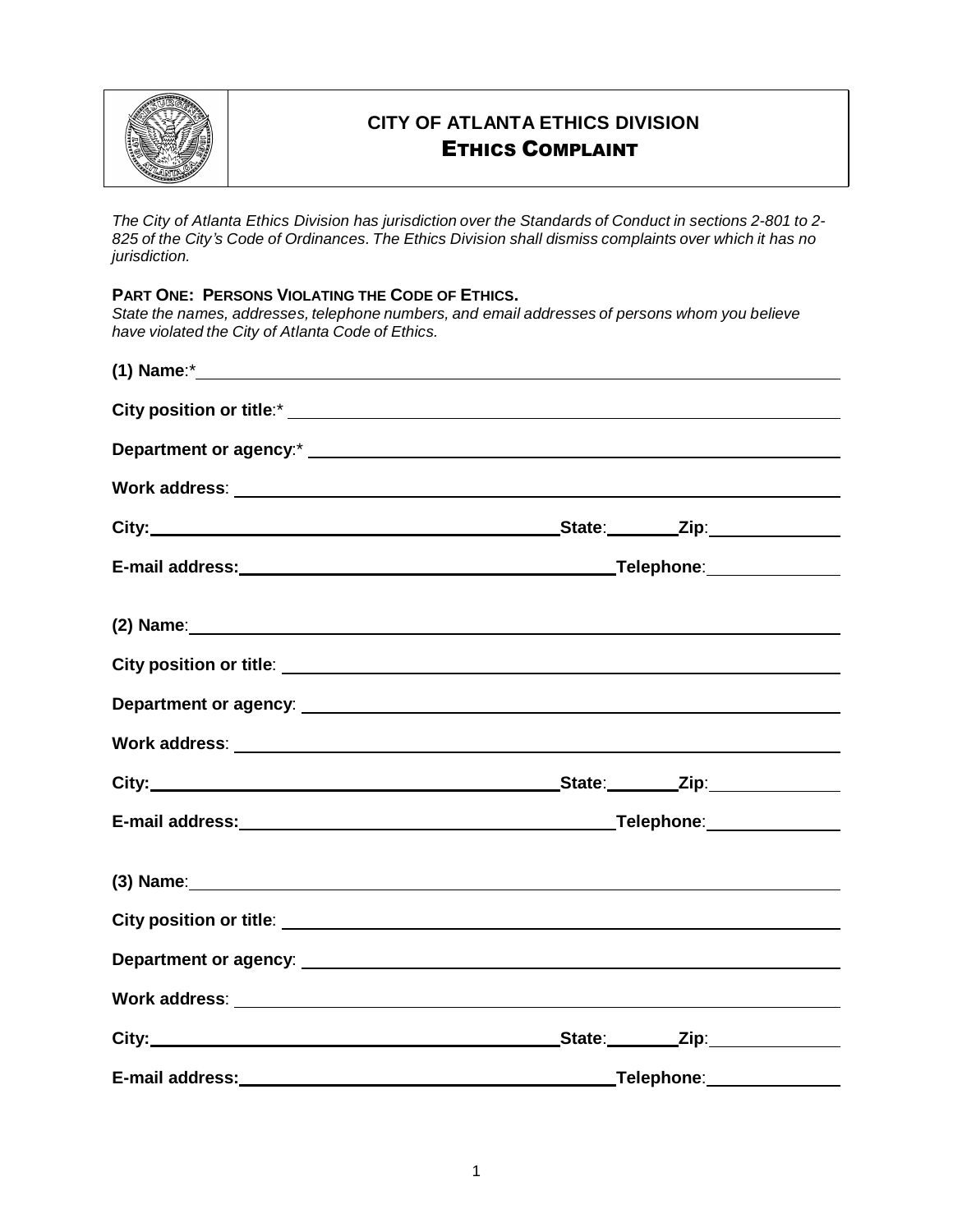

# **CITY OF ATLANTA ETHICS DIVISION** ETHICS COMPLAINT

*The City of Atlanta Ethics Division has jurisdiction over the Standards of Conduct in sections 2-801 to 2-* 825 of the City's Code of Ordinances. The Ethics Division shall dismiss complaints over which it has no *jurisdiction.*

**PART ONE: PERSONS VIOLATING THE CODE OF ETHICS.**

*State the names, addresses, telephone numbers, and email addresses of persons whom you believe have violated the City of Atlanta Code of Ethics.*

|                                                                                                               | (2) Name: example and the contract of the contract of the contract of the contract of the contract of the contract of the contract of the contract of the contract of the contract of the contract of the contract of the cont |
|---------------------------------------------------------------------------------------------------------------|--------------------------------------------------------------------------------------------------------------------------------------------------------------------------------------------------------------------------------|
|                                                                                                               |                                                                                                                                                                                                                                |
|                                                                                                               |                                                                                                                                                                                                                                |
|                                                                                                               |                                                                                                                                                                                                                                |
|                                                                                                               |                                                                                                                                                                                                                                |
|                                                                                                               |                                                                                                                                                                                                                                |
| (3) Name: 120 and 200 and 200 and 200 and 200 and 200 and 200 and 200 and 200 and 200 and 200 and 200 and 200 |                                                                                                                                                                                                                                |
|                                                                                                               |                                                                                                                                                                                                                                |
|                                                                                                               |                                                                                                                                                                                                                                |
|                                                                                                               |                                                                                                                                                                                                                                |
|                                                                                                               |                                                                                                                                                                                                                                |
|                                                                                                               |                                                                                                                                                                                                                                |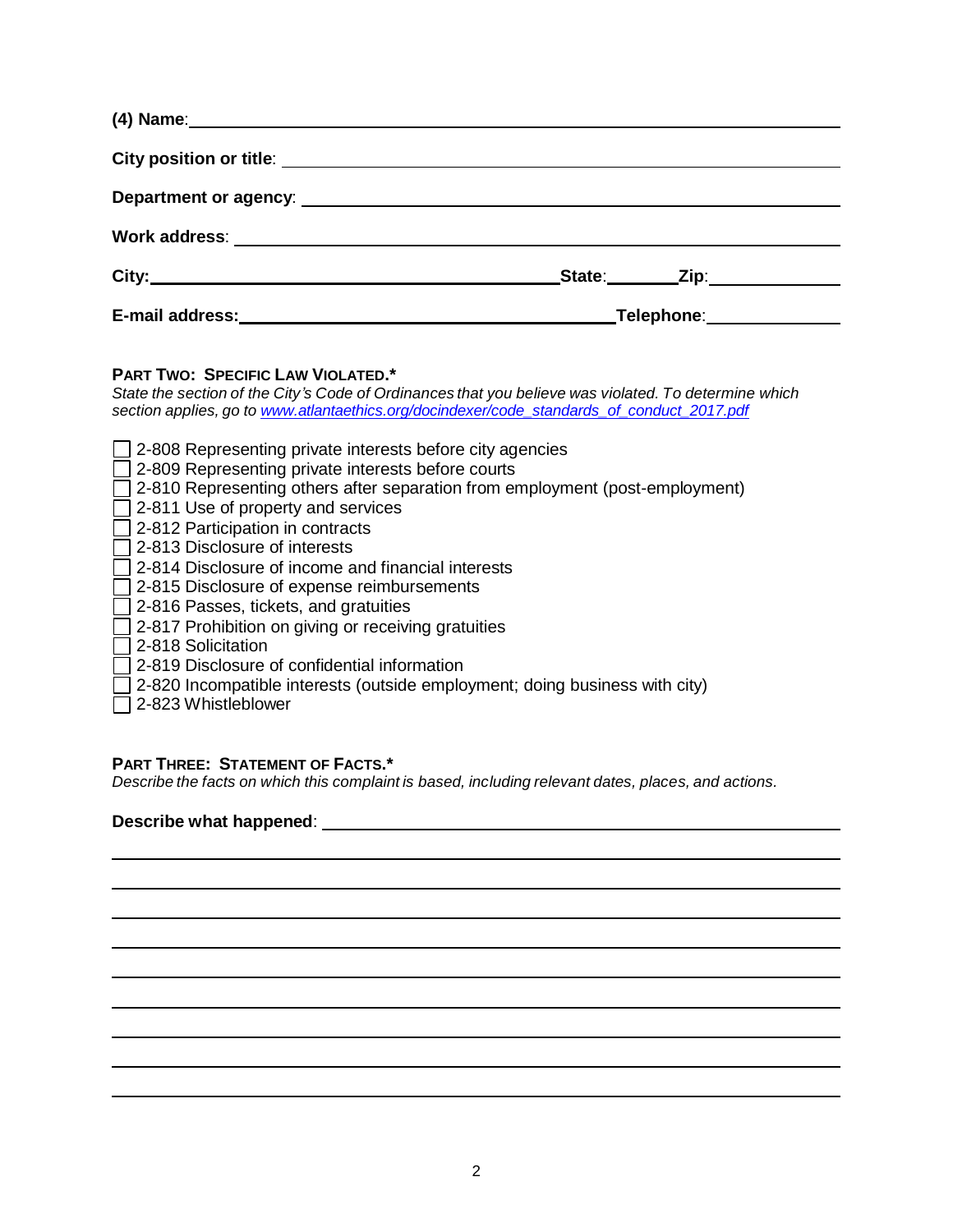| Department or agency: example and a series of the series of the series of the series of the series of the series of the series of the series of the series of the series of the series of the series of the series of the seri |
|--------------------------------------------------------------------------------------------------------------------------------------------------------------------------------------------------------------------------------|
|                                                                                                                                                                                                                                |
| _State:_________Zip:______________                                                                                                                                                                                             |
|                                                                                                                                                                                                                                |

## **PART TWO: SPECIFIC LAW VIOLATED.\***

*State the section of the City's Code of Ordinances that you believe was violated. To determine which section applies, go to [www.atlantaethics.org/docindexer/code\\_standards\\_of\\_conduct\\_2017.pdf](http://www.atlantaethics.org/docindexer/code_standards_of_conduct_2017.pdf)*

□ 2-823 Whistleblower

### **PART THREE: STATEMENT OF FACTS.\***

*Describe the facts on which this complaint is based, including relevant dates, places, and actions.*

### **Describe what happened**: